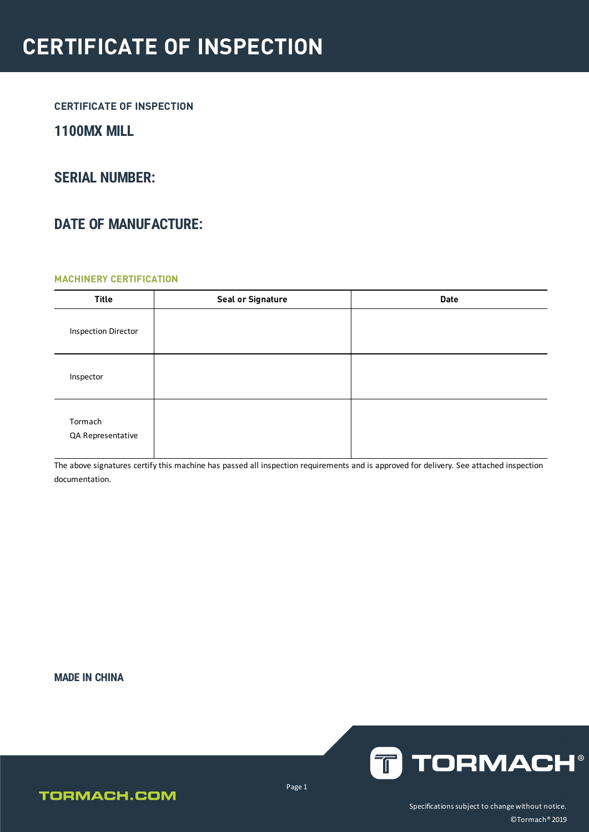### **1100MX MILL**

### **SERIAL NUMBER:**

## **DATE OF MANUFACTURE:**

#### **MACHINERY CERTIFICATION**

| <b>Title</b>                 | <b>Seal or Signature</b> | <b>Date</b> |
|------------------------------|--------------------------|-------------|
| <b>Inspection Director</b>   |                          |             |
| Inspector                    |                          |             |
| Tormach<br>QA Representative |                          |             |

The above signatures certify this machine has passed all inspection requirements and is approved for delivery. See attached inspection documentation.

**MADE IN CHINA**



### **TORMACH.COM**

Page 1

Specifications subject to change without notice. ©Tormach® 2019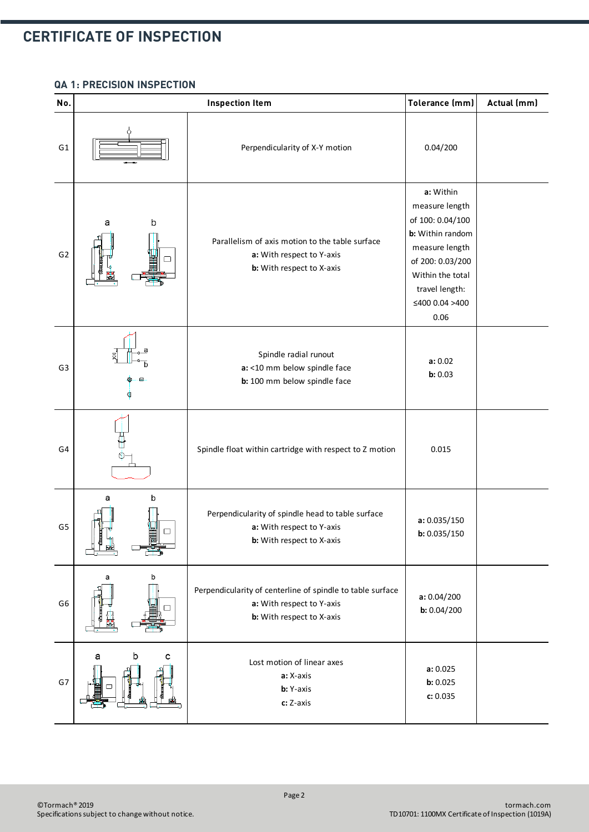#### **QA 1: PRECISION INSPECTION**

| No.            | <b>Inspection Item</b> |                                                                                                                      | Tolerance (mm)                                                                                                                                                            | Actual (mm) |
|----------------|------------------------|----------------------------------------------------------------------------------------------------------------------|---------------------------------------------------------------------------------------------------------------------------------------------------------------------------|-------------|
| G <sub>1</sub> |                        | Perpendicularity of X-Y motion                                                                                       | 0.04/200                                                                                                                                                                  |             |
| G <sub>2</sub> | b<br>а                 | Parallelism of axis motion to the table surface<br>a: With respect to Y-axis<br>b: With respect to X-axis            | a: Within<br>measure length<br>of 100: 0.04/100<br>b: Within random<br>measure length<br>of 200: 0.03/200<br>Within the total<br>travel length:<br>≤400 0.04 >400<br>0.06 |             |
| G <sub>3</sub> |                        | Spindle radial runout<br>a: <10 mm below spindle face<br>b: 100 mm below spindle face                                | a: 0.02<br>b: 0.03                                                                                                                                                        |             |
| G4             |                        | Spindle float within cartridge with respect to Z motion                                                              | 0.015                                                                                                                                                                     |             |
| G <sub>5</sub> | b<br>а<br>□            | Perpendicularity of spindle head to table surface<br>a: With respect to Y-axis<br>b: With respect to X-axis          | a: 0.035/150<br>b: 0.035/150                                                                                                                                              |             |
| G <sub>6</sub> | b<br>а                 | Perpendicularity of centerline of spindle to table surface<br>a: With respect to Y-axis<br>b: With respect to X-axis | a: 0.04/200<br>b: 0.04/200                                                                                                                                                |             |
| G7             | b<br>а<br>с            | Lost motion of linear axes<br>a: X-axis<br>b: Y-axis<br>c: Z-axis                                                    | a: 0.025<br>b: 0.025<br>c: 0.035                                                                                                                                          |             |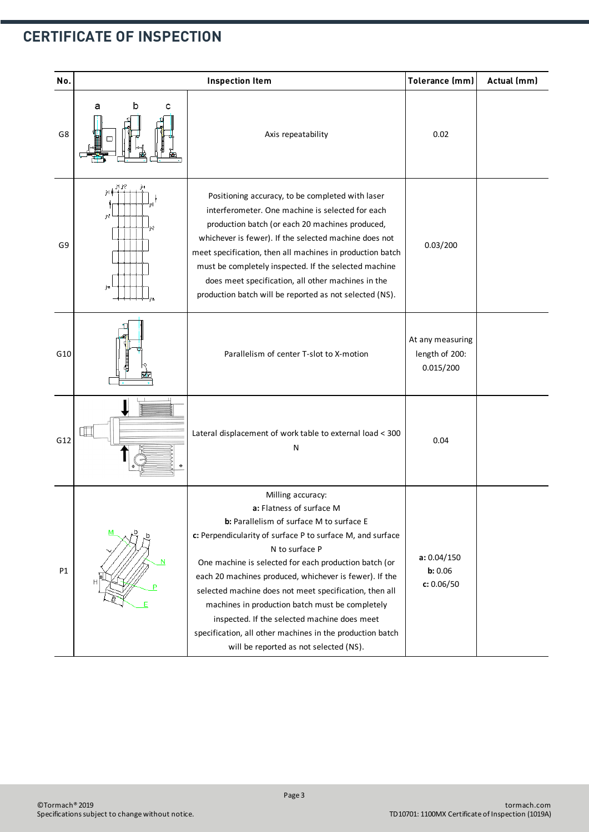| No. | <b>Inspection Item</b>               |                                                                                                                                                                                                                                                                                                                                                                                                                                                                                                                                                                  | Tolerance (mm)                                  | Actual (mm) |
|-----|--------------------------------------|------------------------------------------------------------------------------------------------------------------------------------------------------------------------------------------------------------------------------------------------------------------------------------------------------------------------------------------------------------------------------------------------------------------------------------------------------------------------------------------------------------------------------------------------------------------|-------------------------------------------------|-------------|
| G8  | а<br>b<br>с                          | Axis repeatability                                                                                                                                                                                                                                                                                                                                                                                                                                                                                                                                               | 0.02                                            |             |
| G9  | jil ji?<br>j=l∲<br>j=2<br>j=2<br>jm, | Positioning accuracy, to be completed with laser<br>interferometer. One machine is selected for each<br>production batch (or each 20 machines produced,<br>whichever is fewer). If the selected machine does not<br>meet specification, then all machines in production batch<br>must be completely inspected. If the selected machine<br>does meet specification, all other machines in the<br>production batch will be reported as not selected (NS).                                                                                                          | 0.03/200                                        |             |
| G10 |                                      | Parallelism of center T-slot to X-motion                                                                                                                                                                                                                                                                                                                                                                                                                                                                                                                         | At any measuring<br>length of 200:<br>0.015/200 |             |
| G12 |                                      | Lateral displacement of work table to external load < 300<br>N                                                                                                                                                                                                                                                                                                                                                                                                                                                                                                   | 0.04                                            |             |
| P1  | N<br>E                               | Milling accuracy:<br>a: Flatness of surface M<br>b: Parallelism of surface M to surface E<br>c: Perpendicularity of surface P to surface M, and surface<br>N to surface P<br>One machine is selected for each production batch (or<br>each 20 machines produced, whichever is fewer). If the<br>selected machine does not meet specification, then all<br>machines in production batch must be completely<br>inspected. If the selected machine does meet<br>specification, all other machines in the production batch<br>will be reported as not selected (NS). | a: 0.04/150<br>b: 0.06<br>c: 0.06/50            |             |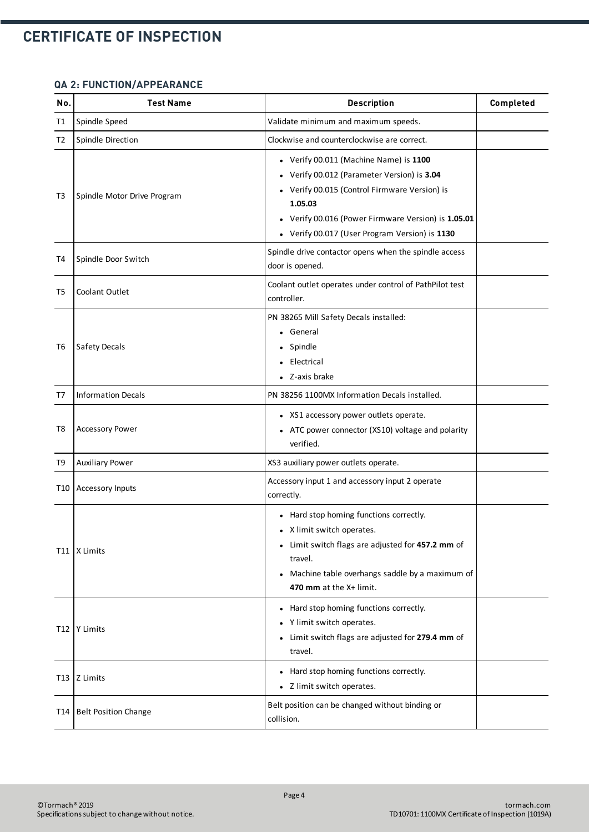#### **QA 2: FUNCTION/APPEARANCE**

| No. | <b>Test Name</b>             | <b>Description</b>                                                                                                                                                                                                                                   | Completed |
|-----|------------------------------|------------------------------------------------------------------------------------------------------------------------------------------------------------------------------------------------------------------------------------------------------|-----------|
| Τ1  | Spindle Speed                | Validate minimum and maximum speeds.                                                                                                                                                                                                                 |           |
| T2  | Spindle Direction            | Clockwise and counterclockwise are correct.                                                                                                                                                                                                          |           |
| T3  | Spindle Motor Drive Program  | • Verify 00.011 (Machine Name) is 1100<br>Verify 00.012 (Parameter Version) is 3.04<br>Verify 00.015 (Control Firmware Version) is<br>1.05.03<br>Verify 00.016 (Power Firmware Version) is 1.05.01<br>• Verify 00.017 (User Program Version) is 1130 |           |
| T4  | Spindle Door Switch          | Spindle drive contactor opens when the spindle access<br>door is opened.                                                                                                                                                                             |           |
| T5  | <b>Coolant Outlet</b>        | Coolant outlet operates under control of PathPilot test<br>controller.                                                                                                                                                                               |           |
| T6  | Safety Decals                | PN 38265 Mill Safety Decals installed:<br>General<br>Spindle<br>Electrical<br>Z-axis brake                                                                                                                                                           |           |
| T7  | <b>Information Decals</b>    | PN 38256 1100MX Information Decals installed.                                                                                                                                                                                                        |           |
| T8  | <b>Accessory Power</b>       | • XS1 accessory power outlets operate.<br>ATC power connector (XS10) voltage and polarity<br>verified.                                                                                                                                               |           |
| T9  | <b>Auxiliary Power</b>       | XS3 auxiliary power outlets operate.                                                                                                                                                                                                                 |           |
|     | T10   Accessory Inputs       | Accessory input 1 and accessory input 2 operate<br>correctly.                                                                                                                                                                                        |           |
|     | T11   X Limits               | • Hard stop homing functions correctly.<br>X limit switch operates.<br>Limit switch flags are adjusted for 457.2 mm of<br>$\bullet$<br>travel.<br>• Machine table overhangs saddle by a maximum of<br>470 mm at the X+ limit.                        |           |
|     | T12   Y Limits               | • Hard stop homing functions correctly.<br>Y limit switch operates.<br>Limit switch flags are adjusted for 279.4 mm of<br>٠<br>travel.                                                                                                               |           |
|     | T <sub>13</sub>   $Z$ Limits | Hard stop homing functions correctly.<br>• Z limit switch operates.                                                                                                                                                                                  |           |
| T14 | Belt Position Change         | Belt position can be changed without binding or<br>collision.                                                                                                                                                                                        |           |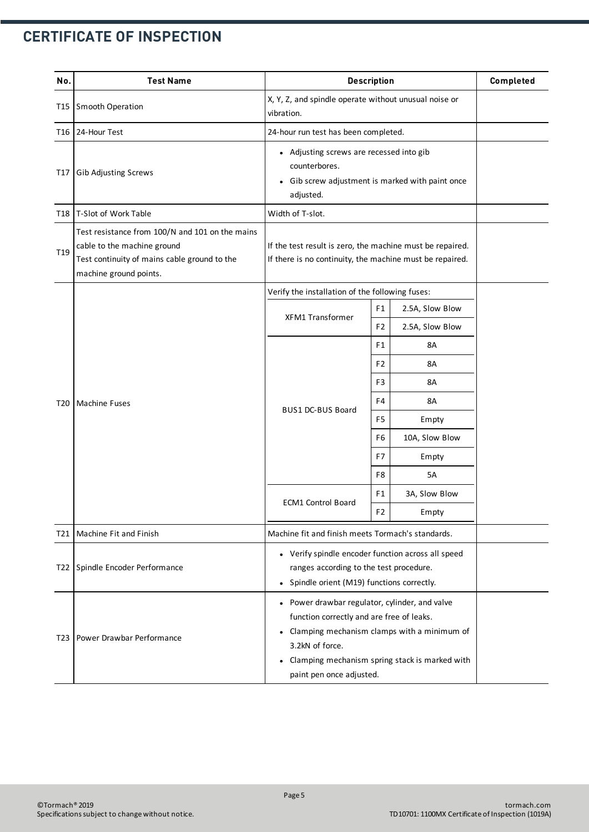| No.             | <b>Test Name</b>                                                                                                                                         | <b>Description</b>                                                                                                                                                                                                                                       |                                      |                 | Completed |
|-----------------|----------------------------------------------------------------------------------------------------------------------------------------------------------|----------------------------------------------------------------------------------------------------------------------------------------------------------------------------------------------------------------------------------------------------------|--------------------------------------|-----------------|-----------|
| T15             | Smooth Operation                                                                                                                                         | X, Y, Z, and spindle operate without unusual noise or<br>vibration.                                                                                                                                                                                      |                                      |                 |           |
| T16             | 24-Hour Test                                                                                                                                             |                                                                                                                                                                                                                                                          | 24-hour run test has been completed. |                 |           |
| T17             | Gib Adjusting Screws                                                                                                                                     | • Adjusting screws are recessed into gib<br>counterbores.<br>Gib screw adjustment is marked with paint once<br>adjusted.                                                                                                                                 |                                      |                 |           |
| T18             | T-Slot of Work Table                                                                                                                                     | Width of T-slot.                                                                                                                                                                                                                                         |                                      |                 |           |
| T <sub>19</sub> | Test resistance from 100/N and 101 on the mains<br>cable to the machine ground<br>Test continuity of mains cable ground to the<br>machine ground points. | If the test result is zero, the machine must be repaired.<br>If there is no continuity, the machine must be repaired.                                                                                                                                    |                                      |                 |           |
|                 |                                                                                                                                                          | Verify the installation of the following fuses:                                                                                                                                                                                                          |                                      |                 |           |
|                 |                                                                                                                                                          | <b>XFM1 Transformer</b>                                                                                                                                                                                                                                  | F <sub>1</sub>                       | 2.5A, Slow Blow |           |
|                 |                                                                                                                                                          |                                                                                                                                                                                                                                                          | F <sub>2</sub>                       | 2.5A, Slow Blow |           |
|                 | <b>Machine Fuses</b>                                                                                                                                     | <b>BUS1 DC-BUS Board</b>                                                                                                                                                                                                                                 | F <sub>1</sub>                       | 8A              |           |
|                 |                                                                                                                                                          |                                                                                                                                                                                                                                                          | F <sub>2</sub>                       | 8A              |           |
|                 |                                                                                                                                                          |                                                                                                                                                                                                                                                          | F3                                   | <b>8A</b>       |           |
| T <sub>20</sub> |                                                                                                                                                          |                                                                                                                                                                                                                                                          | F4                                   | 8A              |           |
|                 |                                                                                                                                                          |                                                                                                                                                                                                                                                          | F5                                   | Empty           |           |
|                 |                                                                                                                                                          |                                                                                                                                                                                                                                                          | F6                                   | 10A, Slow Blow  |           |
|                 |                                                                                                                                                          |                                                                                                                                                                                                                                                          | F7                                   | Empty           |           |
|                 |                                                                                                                                                          |                                                                                                                                                                                                                                                          | F8                                   | 5A              |           |
|                 |                                                                                                                                                          | <b>ECM1 Control Board</b>                                                                                                                                                                                                                                | F1                                   | 3A, Slow Blow   |           |
|                 |                                                                                                                                                          |                                                                                                                                                                                                                                                          |                                      | Empty           |           |
| T21             | Machine Fit and Finish                                                                                                                                   | Machine fit and finish meets Tormach's standards.                                                                                                                                                                                                        |                                      |                 |           |
| T22             | Spindle Encoder Performance                                                                                                                              | • Verify spindle encoder function across all speed<br>ranges according to the test procedure.<br>Spindle orient (M19) functions correctly.<br>$\bullet$                                                                                                  |                                      |                 |           |
| T23             | Power Drawbar Performance                                                                                                                                | • Power drawbar regulator, cylinder, and valve<br>function correctly and are free of leaks.<br>Clamping mechanism clamps with a minimum of<br>3.2kN of force.<br>Clamping mechanism spring stack is marked with<br>$\bullet$<br>paint pen once adjusted. |                                      |                 |           |